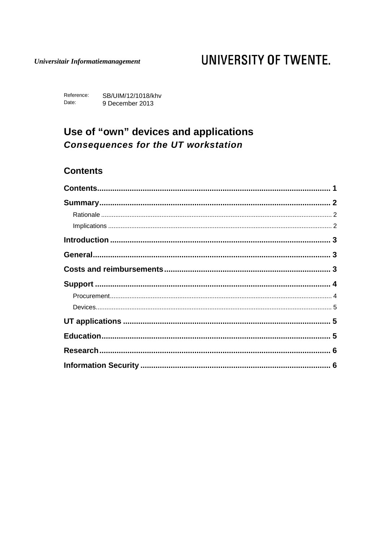#### Universitair Informatiemanagement

# UNIVERSITY OF TWENTE.

Reference: SB/UIM/12/1018/khv Date: 9 December 2013

## Use of "own" devices and applications **Consequences for the UT workstation**

#### <span id="page-0-0"></span>**Contents**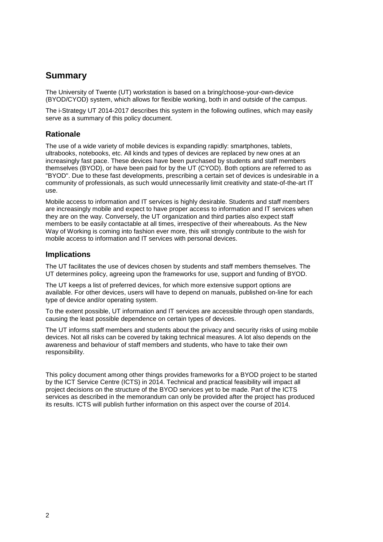### <span id="page-1-0"></span>**Summary**

The University of Twente (UT) workstation is based on a bring/choose-your-own-device (BYOD/CYOD) system, which allows for flexible working, both in and outside of the campus.

The i-Strategy UT 2014-2017 describes this system in the following outlines, which may easily serve as a summary of this policy document.

#### <span id="page-1-1"></span>**Rationale**

The use of a wide variety of mobile devices is expanding rapidly: smartphones, tablets, ultrabooks, notebooks, etc. All kinds and types of devices are replaced by new ones at an increasingly fast pace. These devices have been purchased by students and staff members themselves (BYOD), or have been paid for by the UT (CYOD). Both options are referred to as "BYOD". Due to these fast developments, prescribing a certain set of devices is undesirable in a community of professionals, as such would unnecessarily limit creativity and state-of-the-art IT use.

Mobile access to information and IT services is highly desirable. Students and staff members are increasingly mobile and expect to have proper access to information and IT services when they are on the way. Conversely, the UT organization and third parties also expect staff members to be easily contactable at all times, irrespective of their whereabouts. As the New Way of Working is coming into fashion ever more, this will strongly contribute to the wish for mobile access to information and IT services with personal devices.

#### <span id="page-1-2"></span>**Implications**

The UT facilitates the use of devices chosen by students and staff members themselves. The UT determines policy, agreeing upon the frameworks for use, support and funding of BYOD.

The UT keeps a list of preferred devices, for which more extensive support options are available. For other devices, users will have to depend on manuals, published on-line for each type of device and/or operating system.

To the extent possible, UT information and IT services are accessible through open standards, causing the least possible dependence on certain types of devices.

The UT informs staff members and students about the privacy and security risks of using mobile devices. Not all risks can be covered by taking technical measures. A lot also depends on the awareness and behaviour of staff members and students, who have to take their own responsibility.

This policy document among other things provides frameworks for a BYOD project to be started by the ICT Service Centre (ICTS) in 2014. Technical and practical feasibility will impact all project decisions on the structure of the BYOD services yet to be made. Part of the ICTS services as described in the memorandum can only be provided after the project has produced its results. ICTS will publish further information on this aspect over the course of 2014.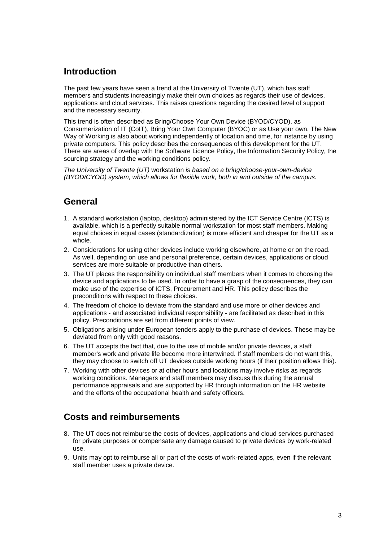### <span id="page-2-0"></span>**Introduction**

The past few years have seen a trend at the University of Twente (UT), which has staff members and students increasingly make their own choices as regards their use of devices, applications and cloud services. This raises questions regarding the desired level of support and the necessary security.

This trend is often described as Bring/Choose Your Own Device (BYOD/CYOD), as Consumerization of IT (CoIT), Bring Your Own Computer (BYOC) or as Use your own. The New Way of Working is also about working independently of location and time, for instance by using private computers. This policy describes the consequences of this development for the UT. There are areas of overlap with the Software Licence Policy, the Information Security Policy, the sourcing strategy and the working conditions policy.

*The University of Twente (UT)* workstation *is based on a bring/choose-your-own-device (BYOD/CYOD) system, which allows for flexible work, both in and outside of the campus.*

#### <span id="page-2-1"></span>**General**

- 1. A standard workstation (laptop, desktop) administered by the ICT Service Centre (ICTS) is available, which is a perfectly suitable normal workstation for most staff members. Making equal choices in equal cases (standardization) is more efficient and cheaper for the UT as a whole.
- 2. Considerations for using other devices include working elsewhere, at home or on the road. As well, depending on use and personal preference, certain devices, applications or cloud services are more suitable or productive than others.
- 3. The UT places the responsibility on individual staff members when it comes to choosing the device and applications to be used. In order to have a grasp of the consequences, they can make use of the expertise of ICTS, Procurement and HR. This policy describes the preconditions with respect to these choices.
- 4. The freedom of choice to deviate from the standard and use more or other devices and applications - and associated individual responsibility - are facilitated as described in this policy. Preconditions are set from different points of view.
- 5. Obligations arising under European tenders apply to the purchase of devices. These may be deviated from only with good reasons.
- 6. The UT accepts the fact that, due to the use of mobile and/or private devices, a staff member's work and private life become more intertwined. If staff members do not want this, they may choose to switch off UT devices outside working hours (if their position allows this).
- 7. Working with other devices or at other hours and locations may involve risks as regards working conditions. Managers and staff members may discuss this during the annual performance appraisals and are supported by HR through information on the HR website and the efforts of the occupational health and safety officers.

### <span id="page-2-2"></span>**Costs and reimbursements**

- 8. The UT does not reimburse the costs of devices, applications and cloud services purchased for private purposes or compensate any damage caused to private devices by work-related use.
- 9. Units may opt to reimburse all or part of the costs of work-related apps, even if the relevant staff member uses a private device.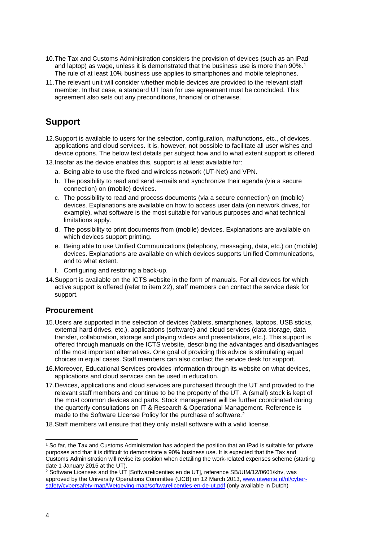- 10.The Tax and Customs Administration considers the provision of devices (such as an iPad and laptop) as wage, unless it is demonstrated that the business use is more than 90%.<sup>[1](#page-3-2)</sup> The rule of at least 10% business use applies to smartphones and mobile telephones.
- 11.The relevant unit will consider whether mobile devices are provided to the relevant staff member. In that case, a standard UT loan for use agreement must be concluded. This agreement also sets out any preconditions, financial or otherwise.

### <span id="page-3-0"></span>**Support**

- 12.Support is available to users for the selection, configuration, malfunctions, etc., of devices, applications and cloud services. It is, however, not possible to facilitate all user wishes and device options. The below text details per subject how and to what extent support is offered.
- 13.Insofar as the device enables this, support is at least available for:
	- a. Being able to use the fixed and wireless network (UT-Net) and VPN.
	- b. The possibility to read and send e-mails and synchronize their agenda (via a secure connection) on (mobile) devices.
	- c. The possibility to read and process documents (via a secure connection) on (mobile) devices. Explanations are available on how to access user data (on network drives, for example), what software is the most suitable for various purposes and what technical limitations apply.
	- d. The possibility to print documents from (mobile) devices. Explanations are available on which devices support printing.
	- e. Being able to use Unified Communications (telephony, messaging, data, etc.) on (mobile) devices. Explanations are available on which devices supports Unified Communications, and to what extent.
	- f. Configuring and restoring a back-up.
- 14.Support is available on the ICTS website in the form of manuals. For all devices for which active support is offered (refer to item 22), staff members can contact the service desk for support.

#### <span id="page-3-1"></span>**Procurement**

- 15.Users are supported in the selection of devices (tablets, smartphones, laptops, USB sticks, external hard drives, etc.), applications (software) and cloud services (data storage, data transfer, collaboration, storage and playing videos and presentations, etc.). This support is offered through manuals on the ICTS website, describing the advantages and disadvantages of the most important alternatives. One goal of providing this advice is stimulating equal choices in equal cases. Staff members can also contact the service desk for support.
- 16.Moreover, Educational Services provides information through its website on what devices, applications and cloud services can be used in education.
- 17.Devices, applications and cloud services are purchased through the UT and provided to the relevant staff members and continue to be the property of the UT. A (small) stock is kept of the most common devices and parts. Stock management will be further coordinated during the quarterly consultations on IT & Research & Operational Management. Reference is made to the Software License Policy for the purchase of software.<sup>[2](#page-3-3)</sup>
- 18.Staff members will ensure that they only install software with a valid license.

<span id="page-3-2"></span> <sup>1</sup> So far, the Tax and Customs Administration has adopted the position that an iPad is suitable for private purposes and that it is difficult to demonstrate a 90% business use. It is expected that the Tax and Customs Administration will revise its position when detailing the work-related expenses scheme (starting date 1 January 2015 at the UT).

<span id="page-3-3"></span><sup>&</sup>lt;sup>2</sup> Software Licenses and the UT [Softwarelicenties en de UT], reference SB/UIM/12/0601/khv, was approved by the University Operations Committee (UCB) on 12 March 2013, [www.utwente.nl/nl/cyber](http://www.utwente.nl/nl/cyber-safety/cybersafety-map/Wetgeving-map/softwarelicenties-en-de-ut.pdf)[safety/cybersafety-map/Wetgeving-map/softwarelicenties-en-de-ut.pdf](http://www.utwente.nl/nl/cyber-safety/cybersafety-map/Wetgeving-map/softwarelicenties-en-de-ut.pdf) (only available in Dutch)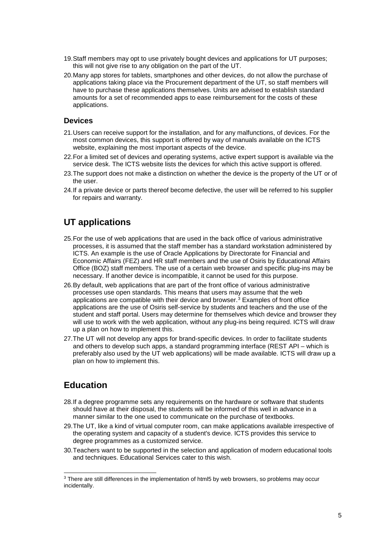- 19.Staff members may opt to use privately bought devices and applications for UT purposes; this will not give rise to any obligation on the part of the UT.
- 20.Many app stores for tablets, smartphones and other devices, do not allow the purchase of applications taking place via the Procurement department of the UT, so staff members will have to purchase these applications themselves. Units are advised to establish standard amounts for a set of recommended apps to ease reimbursement for the costs of these applications.

#### <span id="page-4-0"></span>**Devices**

- 21.Users can receive support for the installation, and for any malfunctions, of devices. For the most common devices, this support is offered by way of manuals available on the ICTS website, explaining the most important aspects of the device.
- 22.For a limited set of devices and operating systems, active expert support is available via the service desk. The ICTS website lists the devices for which this active support is offered.
- 23.The support does not make a distinction on whether the device is the property of the UT or of the user.
- 24.If a private device or parts thereof become defective, the user will be referred to his supplier for repairs and warranty.

#### <span id="page-4-1"></span>**UT applications**

- 25.For the use of web applications that are used in the back office of various administrative processes, it is assumed that the staff member has a standard workstation administered by ICTS. An example is the use of Oracle Applications by Directorate for Financial and Economic Affairs (FEZ) and HR staff members and the use of Osiris by Educational Affairs Office (BOZ) staff members. The use of a certain web browser and specific plug-ins may be necessary. If another device is incompatible, it cannot be used for this purpose.
- 26.By default, web applications that are part of the front office of various administrative processes use open standards. This means that users may assume that the web applications are compatible with their device and browser.[3](#page-4-3) Examples of front office applications are the use of Osiris self-service by students and teachers and the use of the student and staff portal. Users may determine for themselves which device and browser they will use to work with the web application, without any plug-ins being required. ICTS will draw up a plan on how to implement this.
- 27.The UT will not develop any apps for brand-specific devices. In order to facilitate students and others to develop such apps, a standard programming interface (REST API – which is preferably also used by the UT web applications) will be made available. ICTS will draw up a plan on how to implement this.

#### <span id="page-4-2"></span>**Education**

- 28.If a degree programme sets any requirements on the hardware or software that students should have at their disposal, the students will be informed of this well in advance in a manner similar to the one used to communicate on the purchase of textbooks.
- 29.The UT, like a kind of virtual computer room, can make applications available irrespective of the operating system and capacity of a student's device. ICTS provides this service to degree programmes as a customized service.
- 30.Teachers want to be supported in the selection and application of modern educational tools and techniques. Educational Services cater to this wish.

<span id="page-4-3"></span><sup>&</sup>lt;sup>3</sup> There are still differences in the implementation of html5 by web browsers, so problems may occur incidentally.